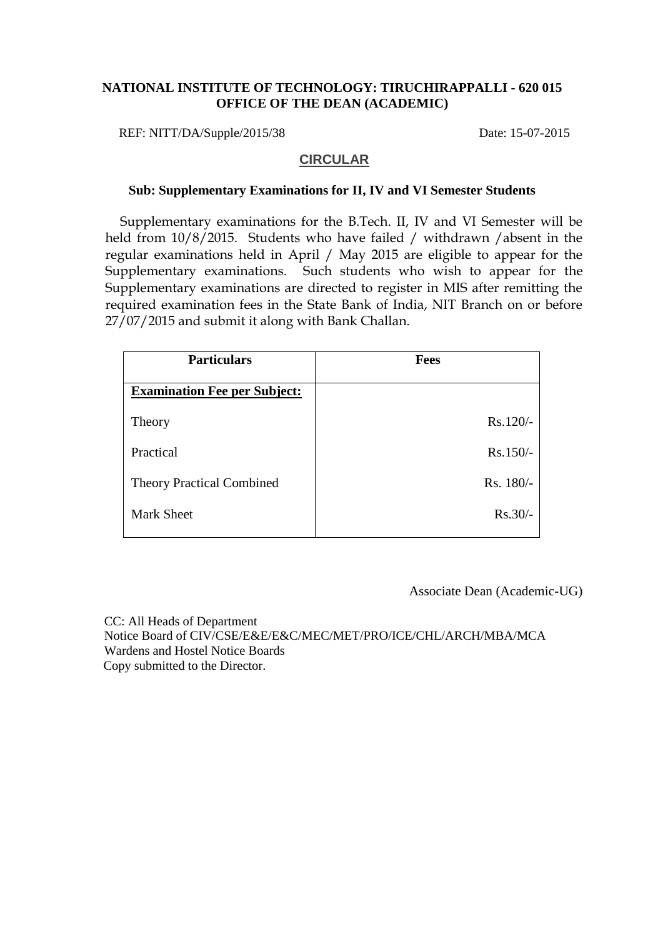## **NATIONAL INSTITUTE OF TECHNOLOGY: TIRUCHIRAPPALLI - 620 015 OFFICE OF THE DEAN (ACADEMIC)**

REF: NITT/DA/Supple/2015/38 Date: 15-07-2015

## **CIRCULAR**

#### **Sub: Supplementary Examinations for II, IV and VI Semester Students**

Supplementary examinations for the B.Tech. II, IV and VI Semester will be held from 10/8/2015. Students who have failed / withdrawn /absent in the regular examinations held in April / May 2015 are eligible to appear for the Supplementary examinations. Such students who wish to appear for the Supplementary examinations are directed to register in MIS after remitting the required examination fees in the State Bank of India, NIT Branch on or before 27/07/2015 and submit it along with Bank Challan.

| <b>Particulars</b>                  | <b>Fees</b> |
|-------------------------------------|-------------|
| <b>Examination Fee per Subject:</b> |             |
| Theory                              | Rs.120/-    |
| Practical                           | $Rs.150/-$  |
| <b>Theory Practical Combined</b>    | Rs. 180/-   |
| <b>Mark Sheet</b>                   | $Rs.30/-$   |
|                                     |             |

Associate Dean (Academic-UG)

 CC: All Heads of Department Notice Board of CIV/CSE/E&E/E&C/MEC/MET/PRO/ICE/CHL/ARCH/MBA/MCA Wardens and Hostel Notice Boards Copy submitted to the Director.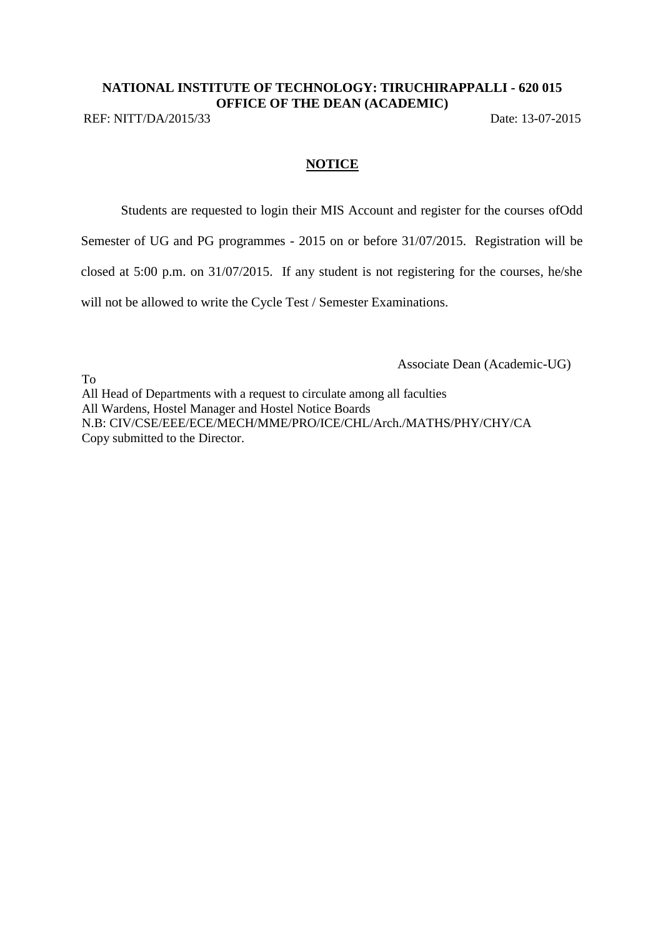# **NATIONAL INSTITUTE OF TECHNOLOGY: TIRUCHIRAPPALLI - 620 015 OFFICE OF THE DEAN (ACADEMIC)**

REF: NITT/DA/2015/33 Date: 13-07-2015

# **NOTICE**

Students are requested to login their MIS Account and register for the courses ofOdd

Semester of UG and PG programmes - 2015 on or before 31/07/2015. Registration will be

closed at 5:00 p.m. on 31/07/2015. If any student is not registering for the courses, he/she

will not be allowed to write the Cycle Test / Semester Examinations.

Associate Dean (Academic-UG)

To All Head of Departments with a request to circulate among all faculties All Wardens, Hostel Manager and Hostel Notice Boards N.B: CIV/CSE/EEE/ECE/MECH/MME/PRO/ICE/CHL/Arch./MATHS/PHY/CHY/CA Copy submitted to the Director.